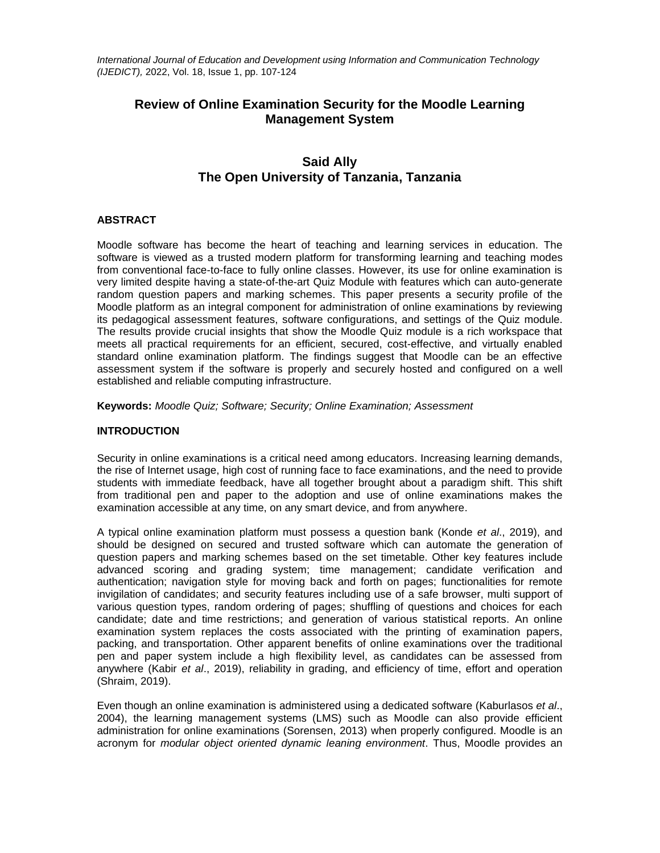*International Journal of Education and Development using Information and Communication Technology (IJEDICT),* 2022, Vol. 18, Issue 1, pp. 107-124

# **Review of Online Examination Security for the Moodle Learning Management System**

# **Said Ally The Open University of Tanzania, Tanzania**

# **ABSTRACT**

Moodle software has become the heart of teaching and learning services in education. The software is viewed as a trusted modern platform for transforming learning and teaching modes from conventional face-to-face to fully online classes. However, its use for online examination is very limited despite having a state-of-the-art Quiz Module with features which can auto-generate random question papers and marking schemes. This paper presents a security profile of the Moodle platform as an integral component for administration of online examinations by reviewing its pedagogical assessment features, software configurations, and settings of the Quiz module. The results provide crucial insights that show the Moodle Quiz module is a rich workspace that meets all practical requirements for an efficient, secured, cost-effective, and virtually enabled standard online examination platform. The findings suggest that Moodle can be an effective assessment system if the software is properly and securely hosted and configured on a well established and reliable computing infrastructure.

**Keywords:** *Moodle Quiz; Software; Security; Online Examination; Assessment*

# **INTRODUCTION**

Security in online examinations is a critical need among educators. Increasing learning demands, the rise of Internet usage, high cost of running face to face examinations, and the need to provide students with immediate feedback, have all together brought about a paradigm shift. This shift from traditional pen and paper to the adoption and use of online examinations makes the examination accessible at any time, on any smart device, and from anywhere.

A typical online examination platform must possess a question bank (Konde *et al*., 2019), and should be designed on secured and trusted software which can automate the generation of question papers and marking schemes based on the set timetable. Other key features include advanced scoring and grading system; time management; candidate verification and authentication; navigation style for moving back and forth on pages; functionalities for remote invigilation of candidates; and security features including use of a safe browser, multi support of various question types, random ordering of pages; shuffling of questions and choices for each candidate; date and time restrictions; and generation of various statistical reports. An online examination system replaces the costs associated with the printing of examination papers, packing, and transportation. Other apparent benefits of online examinations over the traditional pen and paper system include a high flexibility level, as candidates can be assessed from anywhere (Kabir *et al*., 2019), reliability in grading, and efficiency of time, effort and operation (Shraim, 2019).

Even though an online examination is administered using a dedicated software (Kaburlasos *et al*., 2004), the learning management systems (LMS) such as Moodle can also provide efficient administration for online examinations (Sorensen, 2013) when properly configured. Moodle is an acronym for *modular object oriented dynamic leaning environment*. Thus, Moodle provides an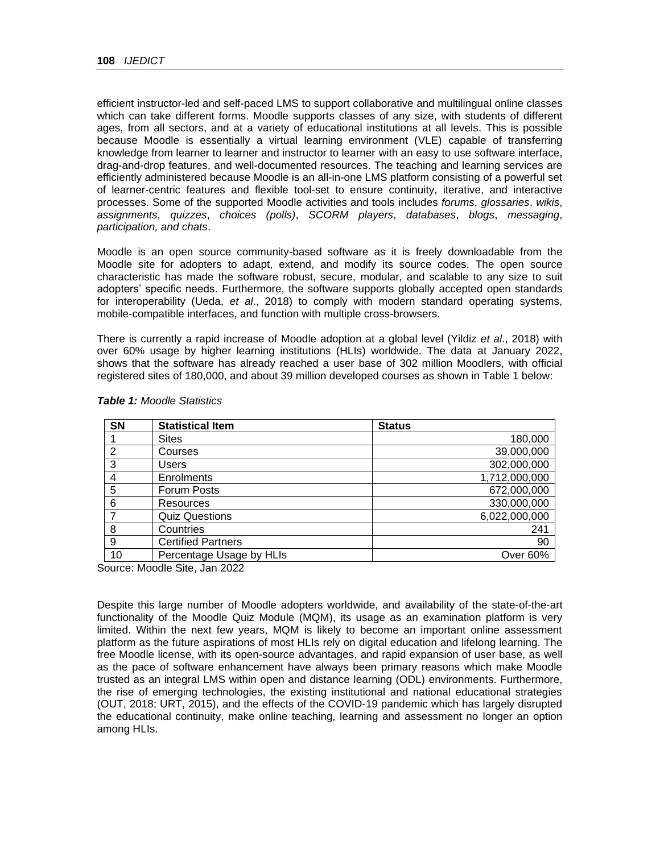efficient instructor-led and self-paced LMS to support collaborative and multilingual online classes which can take different forms. Moodle supports classes of any size, with students of different ages, from all sectors, and at a variety of educational institutions at all levels. This is possible because Moodle is essentially a virtual learning environment (VLE) capable of transferring knowledge from learner to learner and instructor to learner with an easy to use software interface, drag-and-drop features, and well-documented resources. The teaching and learning services are efficiently administered because Moodle is an all-in-one LMS platform consisting of a powerful set of learner-centric features and flexible tool-set to ensure continuity, iterative, and interactive processes. Some of the supported Moodle activities and tools includes *forums*, *glossaries*, *wikis*, *assignments*, *quizzes*, *choices (polls)*, *SCORM players*, *databases*, *blogs*, *messaging*, *participation, and chats*.

Moodle is an open source community-based software as it is freely downloadable from the Moodle site for adopters to adapt, extend, and modify its source codes. The open source characteristic has made the software robust, secure, modular, and scalable to any size to suit adopters' specific needs. Furthermore, the software supports globally accepted open standards for interoperability (Ueda, *et al*., 2018) to comply with modern standard operating systems, mobile-compatible interfaces, and function with multiple cross-browsers.

There is currently a rapid increase of Moodle adoption at a global level (Yildiz *et al*., 2018) with over 60% usage by higher learning institutions (HLIs) worldwide. The data at January 2022, shows that the software has already reached a user base of 302 million Moodlers, with official registered sites of 180,000, and about 39 million developed courses as shown in Table 1 below:

| <b>SN</b>      | <b>Statistical Item</b>   | <b>Status</b> |
|----------------|---------------------------|---------------|
|                | <b>Sites</b>              | 180,000       |
| $\overline{2}$ | Courses                   | 39,000,000    |
| 3              | Users                     | 302,000,000   |
| 4              | Enrolments                | 1,712,000,000 |
| 5              | Forum Posts               | 672,000,000   |
| 6              | Resources                 | 330,000,000   |
| 7              | <b>Quiz Questions</b>     | 6,022,000,000 |
| 8              | Countries                 | 241           |
| 9              | <b>Certified Partners</b> | 90            |
| 10             | Percentage Usage by HLIs  | Over 60%      |

#### *Table 1: Moodle Statistics*

Source: Moodle Site, Jan 2022

Despite this large number of Moodle adopters worldwide, and availability of the state-of-the-art functionality of the Moodle Quiz Module (MQM), its usage as an examination platform is very limited. Within the next few years, MQM is likely to become an important online assessment platform as the future aspirations of most HLIs rely on digital education and lifelong learning. The free Moodle license, with its open-source advantages, and rapid expansion of user base, as well as the pace of software enhancement have always been primary reasons which make Moodle trusted as an integral LMS within open and distance learning (ODL) environments. Furthermore, the rise of emerging technologies, the existing institutional and national educational strategies (OUT, 2018; URT, 2015), and the effects of the COVID-19 pandemic which has largely disrupted the educational continuity, make online teaching, learning and assessment no longer an option among HLIs.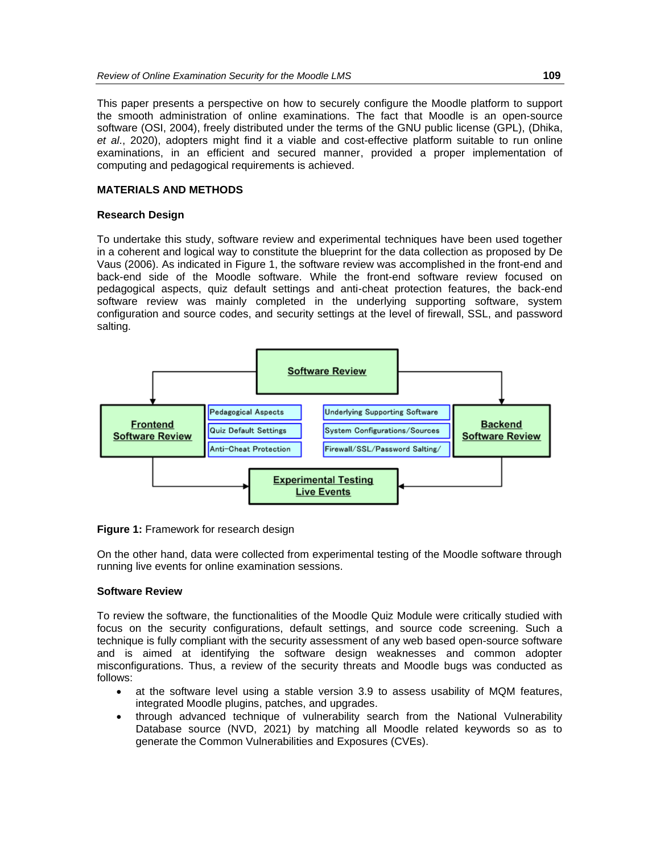This paper presents a perspective on how to securely configure the Moodle platform to support the smooth administration of online examinations. The fact that Moodle is an open-source software (OSI, 2004), freely distributed under the terms of the GNU public license (GPL), (Dhika, *et al*., 2020), adopters might find it a viable and cost-effective platform suitable to run online examinations, in an efficient and secured manner, provided a proper implementation of computing and pedagogical requirements is achieved.

# **MATERIALS AND METHODS**

# **Research Design**

To undertake this study, software review and experimental techniques have been used together in a coherent and logical way to constitute the blueprint for the data collection as proposed by De Vaus (2006). As indicated in Figure 1, the software review was accomplished in the front-end and back-end side of the Moodle software. While the front-end software review focused on pedagogical aspects, quiz default settings and anti-cheat protection features, the back-end software review was mainly completed in the underlying supporting software, system configuration and source codes, and security settings at the level of firewall, SSL, and password salting.



**Figure 1:** Framework for research design

On the other hand, data were collected from experimental testing of the Moodle software through running live events for online examination sessions.

# **Software Review**

To review the software, the functionalities of the Moodle Quiz Module were critically studied with focus on the security configurations, default settings, and source code screening. Such a technique is fully compliant with the security assessment of any web based open-source software and is aimed at identifying the software design weaknesses and common adopter misconfigurations. Thus, a review of the security threats and Moodle bugs was conducted as follows:

- at the software level using a stable version 3.9 to assess usability of MQM features, integrated Moodle plugins, patches, and upgrades.
- through advanced technique of vulnerability search from the National Vulnerability Database source (NVD, 2021) by matching all Moodle related keywords so as to generate the Common Vulnerabilities and Exposures (CVEs).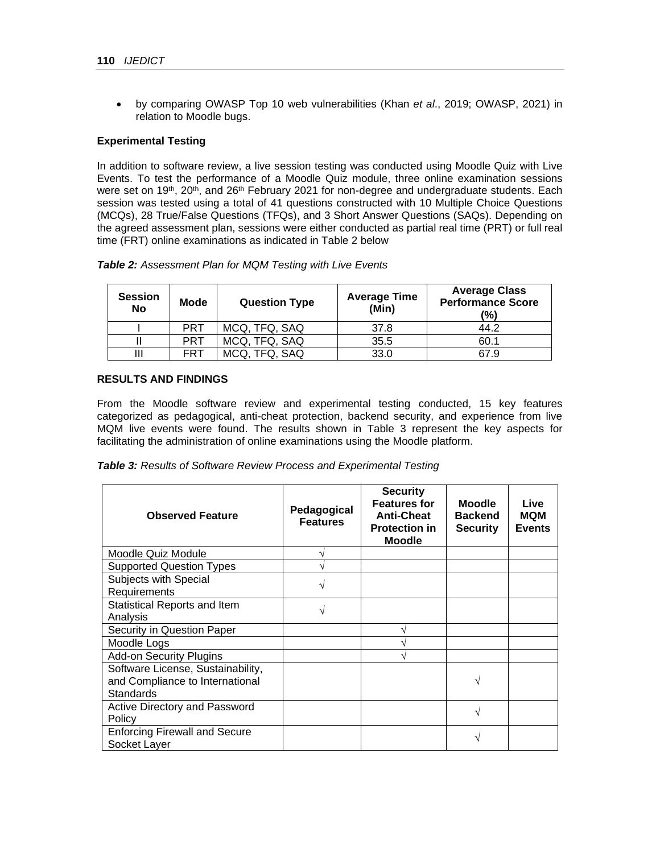• by comparing OWASP Top 10 web vulnerabilities (Khan *et al*., 2019; OWASP, 2021) in relation to Moodle bugs.

# **Experimental Testing**

In addition to software review, a live session testing was conducted using Moodle Quiz with Live Events. To test the performance of a Moodle Quiz module, three online examination sessions were set on 19<sup>th</sup>, 20<sup>th</sup>, and 26<sup>th</sup> February 2021 for non-degree and undergraduate students. Each session was tested using a total of 41 questions constructed with 10 Multiple Choice Questions (MCQs), 28 True/False Questions (TFQs), and 3 Short Answer Questions (SAQs). Depending on the agreed assessment plan, sessions were either conducted as partial real time (PRT) or full real time (FRT) online examinations as indicated in Table 2 below

| <b>Table 2:</b> Assessment Plan for MQM Testing with Live Events |  |  |  |
|------------------------------------------------------------------|--|--|--|
|------------------------------------------------------------------|--|--|--|

| <b>Session</b><br>No | <b>Mode</b> | <b>Question Type</b> | <b>Average Time</b><br>(Min) | <b>Average Class</b><br><b>Performance Score</b><br>(%) |
|----------------------|-------------|----------------------|------------------------------|---------------------------------------------------------|
|                      | <b>PRT</b>  | MCQ, TFQ, SAQ        | 37.8                         | 44.2                                                    |
|                      | PRT         | MCQ, TFQ, SAQ        | 35.5                         | 60.1                                                    |
|                      | FRT         | MCQ, TFQ, SAQ        | 33.0                         | 67.9                                                    |

# **RESULTS AND FINDINGS**

From the Moodle software review and experimental testing conducted, 15 key features categorized as pedagogical, anti-cheat protection, backend security, and experience from live MQM live events were found. The results shown in Table 3 represent the key aspects for facilitating the administration of online examinations using the Moodle platform.

| Table 3: Results of Software Review Process and Experimental Testing |  |  |
|----------------------------------------------------------------------|--|--|
|                                                                      |  |  |

| <b>Observed Feature</b>                                                           | Pedagogical<br><b>Features</b> | <b>Security</b><br><b>Features for</b><br><b>Anti-Cheat</b><br><b>Protection in</b><br><b>Moodle</b> | <b>Moodle</b><br><b>Backend</b><br><b>Security</b> | Live<br>MQM<br><b>Events</b> |
|-----------------------------------------------------------------------------------|--------------------------------|------------------------------------------------------------------------------------------------------|----------------------------------------------------|------------------------------|
| Moodle Quiz Module                                                                |                                |                                                                                                      |                                                    |                              |
| <b>Supported Question Types</b>                                                   |                                |                                                                                                      |                                                    |                              |
| Subjects with Special<br>Requirements                                             |                                |                                                                                                      |                                                    |                              |
| <b>Statistical Reports and Item</b><br>Analysis                                   |                                |                                                                                                      |                                                    |                              |
| Security in Question Paper                                                        |                                |                                                                                                      |                                                    |                              |
| Moodle Logs                                                                       |                                |                                                                                                      |                                                    |                              |
| <b>Add-on Security Plugins</b>                                                    |                                |                                                                                                      |                                                    |                              |
| Software License, Sustainability,<br>and Compliance to International<br>Standards |                                |                                                                                                      |                                                    |                              |
| Active Directory and Password<br>Policy                                           |                                |                                                                                                      |                                                    |                              |
| <b>Enforcing Firewall and Secure</b><br>Socket Layer                              |                                |                                                                                                      |                                                    |                              |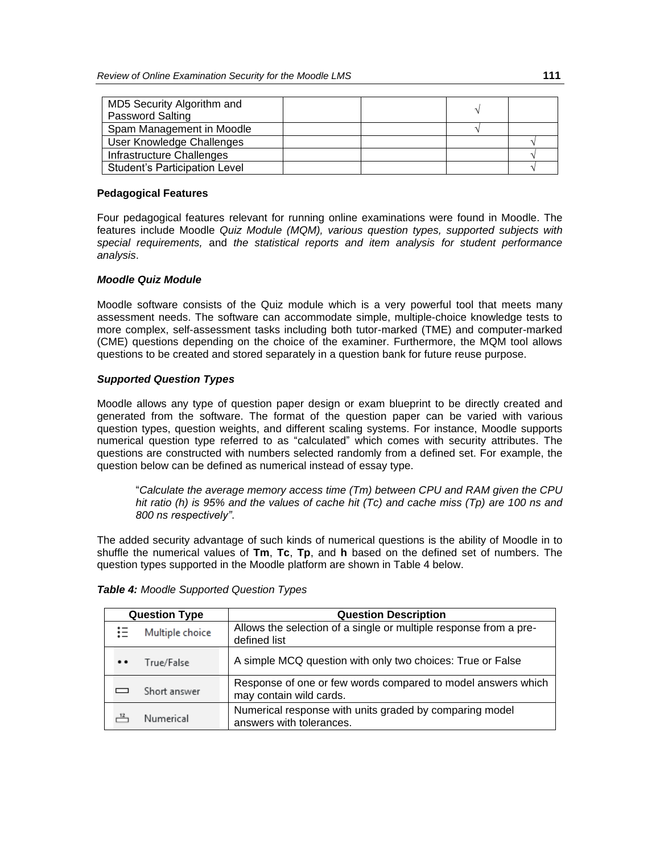| MD5 Security Algorithm and           |  |  |
|--------------------------------------|--|--|
| <b>Password Salting</b>              |  |  |
| Spam Management in Moodle            |  |  |
| User Knowledge Challenges            |  |  |
| Infrastructure Challenges            |  |  |
| <b>Student's Participation Level</b> |  |  |

# **Pedagogical Features**

Four pedagogical features relevant for running online examinations were found in Moodle. The features include Moodle *Quiz Module (MQM), various question types, supported subjects with special requirements,* and *the statistical reports and item analysis for student performance analysis*.

# *Moodle Quiz Module*

Moodle software consists of the Quiz module which is a very powerful tool that meets many assessment needs. The software can accommodate simple, multiple-choice knowledge tests to more complex, self-assessment tasks including both tutor-marked (TME) and computer-marked (CME) questions depending on the choice of the examiner. Furthermore, the MQM tool allows questions to be created and stored separately in a question bank for future reuse purpose.

# *Supported Question Types*

Moodle allows any type of question paper design or exam blueprint to be directly created and generated from the software. The format of the question paper can be varied with various question types, question weights, and different scaling systems. For instance, Moodle supports numerical question type referred to as "calculated" which comes with security attributes. The questions are constructed with numbers selected randomly from a defined set. For example, the question below can be defined as numerical instead of essay type.

"*Calculate the average memory access time (Tm) between CPU and RAM given the CPU hit ratio (h) is 95% and the values of cache hit (Tc) and cache miss (Tp) are 100 ns and 800 ns respectively"*.

The added security advantage of such kinds of numerical questions is the ability of Moodle in to shuffle the numerical values of **Tm**, **Tc**, **Tp**, and **h** based on the defined set of numbers. The question types supported in the Moodle platform are shown in Table 4 below.

| <b>Question Type</b>  |              | <b>Question Description</b>                                                             |
|-----------------------|--------------|-----------------------------------------------------------------------------------------|
| ιΞ<br>Multiple choice |              | Allows the selection of a single or multiple response from a pre-<br>defined list       |
| $\bullet$             | True/False   | A simple MCQ question with only two choices: True or False                              |
|                       | Short answer | Response of one or few words compared to model answers which<br>may contain wild cards. |
|                       | Numerical    | Numerical response with units graded by comparing model<br>answers with tolerances.     |

*Table 4: Moodle Supported Question Types*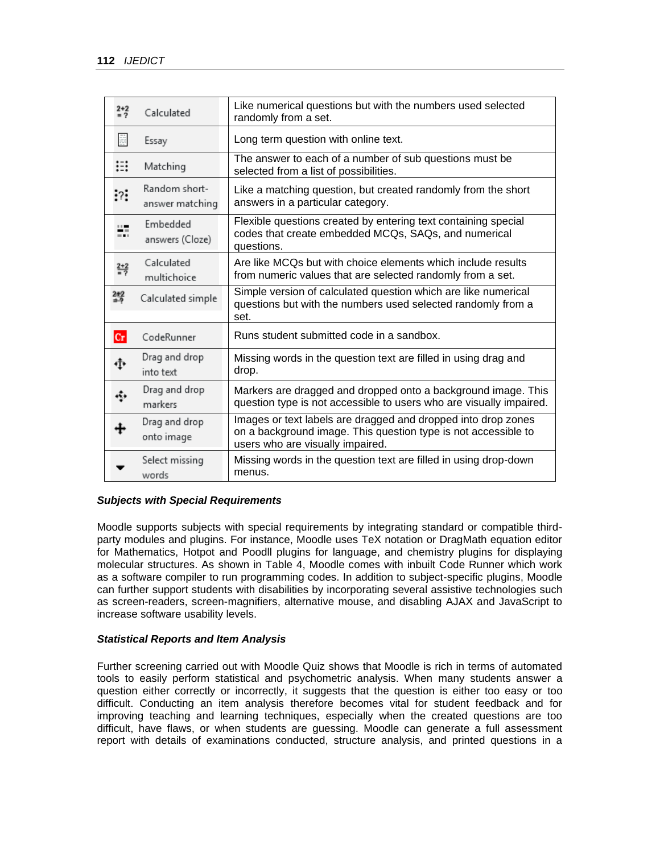| $2+2$<br>$= 2$ | Calculated                       | Like numerical questions but with the numbers used selected<br>randomly from a set.                                                                                 |  |
|----------------|----------------------------------|---------------------------------------------------------------------------------------------------------------------------------------------------------------------|--|
| 匪              | Essay                            | Long term question with online text.                                                                                                                                |  |
| ∺              | Matching                         | The answer to each of a number of sub questions must be<br>selected from a list of possibilities.                                                                   |  |
| : ?            | Random short-<br>answer matching | Like a matching question, but created randomly from the short<br>answers in a particular category.                                                                  |  |
| $\blacksquare$ | Embedded<br>answers (Cloze)      | Flexible questions created by entering text containing special<br>codes that create embedded MCQs, SAQs, and numerical<br>questions.                                |  |
| ÷              | Calculated<br>multichoice        | Are like MCOs but with choice elements which include results<br>from numeric values that are selected randomly from a set.                                          |  |
| 2#2            | Calculated simple                | Simple version of calculated question which are like numerical<br>questions but with the numbers used selected randomly from a<br>set.                              |  |
| Cr             | CodeRunner                       | Runs student submitted code in a sandbox.                                                                                                                           |  |
| ٠ţ۰            | Drag and drop<br>into text       | Missing words in the question text are filled in using drag and<br>drop.                                                                                            |  |
| ٠              | Drag and drop<br>markers         | Markers are dragged and dropped onto a background image. This<br>question type is not accessible to users who are visually impaired.                                |  |
|                | Drag and drop<br>onto image      | Images or text labels are dragged and dropped into drop zones<br>on a background image. This question type is not accessible to<br>users who are visually impaired. |  |
|                | Select missing<br>words          | Missing words in the question text are filled in using drop-down<br>menus.                                                                                          |  |

# *Subjects with Special Requirements*

Moodle supports subjects with special requirements by integrating standard or compatible thirdparty modules and plugins. For instance, Moodle uses TeX notation or DragMath equation editor for Mathematics, Hotpot and Poodll plugins for language, and chemistry plugins for displaying molecular structures. As shown in Table 4, Moodle comes with inbuilt Code Runner which work as a software compiler to run programming codes. In addition to subject-specific plugins, Moodle can further support students with disabilities by incorporating several assistive technologies such as screen-readers, screen-magnifiers, alternative mouse, and disabling AJAX and JavaScript to increase software usability levels.

# *Statistical Reports and Item Analysis*

Further screening carried out with Moodle Quiz shows that Moodle is rich in terms of automated tools to easily perform statistical and psychometric analysis. When many students answer a question either correctly or incorrectly, it suggests that the question is either too easy or too difficult. Conducting an item analysis therefore becomes vital for student feedback and for improving teaching and learning techniques, especially when the created questions are too difficult, have flaws, or when students are guessing. Moodle can generate a full assessment report with details of examinations conducted, structure analysis, and printed questions in a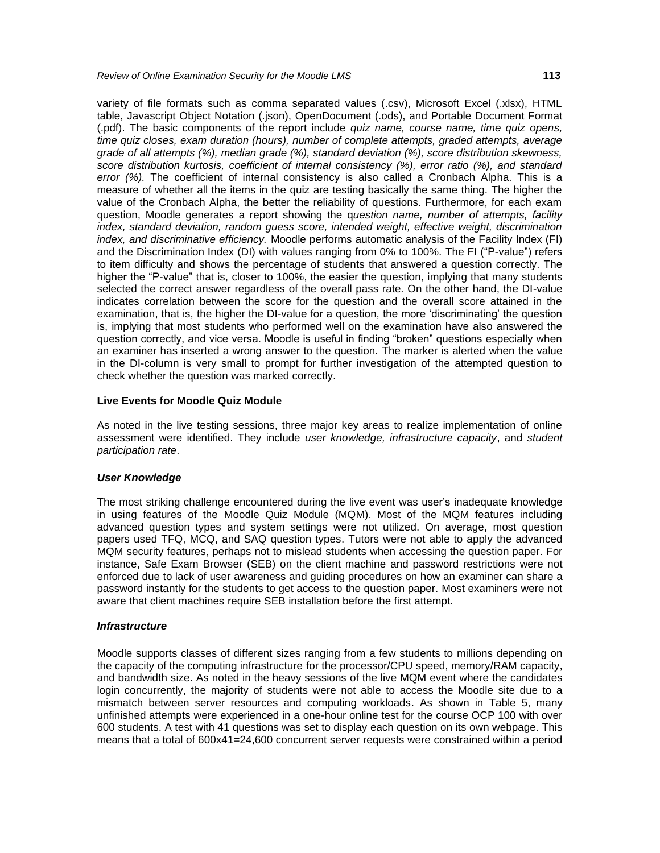variety of file formats such as comma separated values (.csv), Microsoft Excel (.xlsx), HTML table, Javascript Object Notation (.json), OpenDocument (.ods), and Portable Document Format (.pdf). The basic components of the report include *quiz name, course name, time quiz opens, time quiz closes, exam duration (hours), number of complete attempts, graded attempts, average grade of all attempts (%), median grade (%), standard deviation (%), score distribution skewness, score distribution kurtosis, coefficient of internal consistency (%), error ratio (%), and standard error (%).* The coefficient of internal consistency is also called a Cronbach Alpha. This is a measure of whether all the items in the quiz are testing basically the same thing. The higher the value of the Cronbach Alpha, the better the reliability of questions. Furthermore, for each exam question, Moodle generates a report showing the q*uestion name, number of attempts, facility index, standard deviation, random guess score, intended weight, effective weight, discrimination index, and discriminative efficiency.* Moodle performs automatic analysis of the Facility Index (FI) and the Discrimination Index (DI) with values ranging from 0% to 100%*.* The FI ("P-value") refers to item difficulty and shows the percentage of students that answered a question correctly. The higher the "P-value" that is, closer to 100%, the easier the question, implying that many students selected the correct answer regardless of the overall pass rate. On the other hand, the DI-value indicates correlation between the score for the question and the overall score attained in the examination, that is, the higher the DI-value for a question, the more 'discriminating' the question is, implying that most students who performed well on the examination have also answered the question correctly, and vice versa. Moodle is useful in finding "broken" questions especially when an examiner has inserted a wrong answer to the question. The marker is alerted when the value in the DI-column is very small to prompt for further investigation of the attempted question to check whether the question was marked correctly.

#### **Live Events for Moodle Quiz Module**

As noted in the live testing sessions, three major key areas to realize implementation of online assessment were identified. They include *user knowledge, infrastructure capacity*, and *student participation rate*.

# *User Knowledge*

The most striking challenge encountered during the live event was user's inadequate knowledge in using features of the Moodle Quiz Module (MQM). Most of the MQM features including advanced question types and system settings were not utilized. On average, most question papers used TFQ, MCQ, and SAQ question types. Tutors were not able to apply the advanced MQM security features, perhaps not to mislead students when accessing the question paper. For instance, Safe Exam Browser (SEB) on the client machine and password restrictions were not enforced due to lack of user awareness and guiding procedures on how an examiner can share a password instantly for the students to get access to the question paper. Most examiners were not aware that client machines require SEB installation before the first attempt.

#### *Infrastructure*

Moodle supports classes of different sizes ranging from a few students to millions depending on the capacity of the computing infrastructure for the processor/CPU speed, memory/RAM capacity, and bandwidth size. As noted in the heavy sessions of the live MQM event where the candidates login concurrently, the majority of students were not able to access the Moodle site due to a mismatch between server resources and computing workloads. As shown in Table 5, many unfinished attempts were experienced in a one-hour online test for the course OCP 100 with over 600 students. A test with 41 questions was set to display each question on its own webpage. This means that a total of 600x41=24,600 concurrent server requests were constrained within a period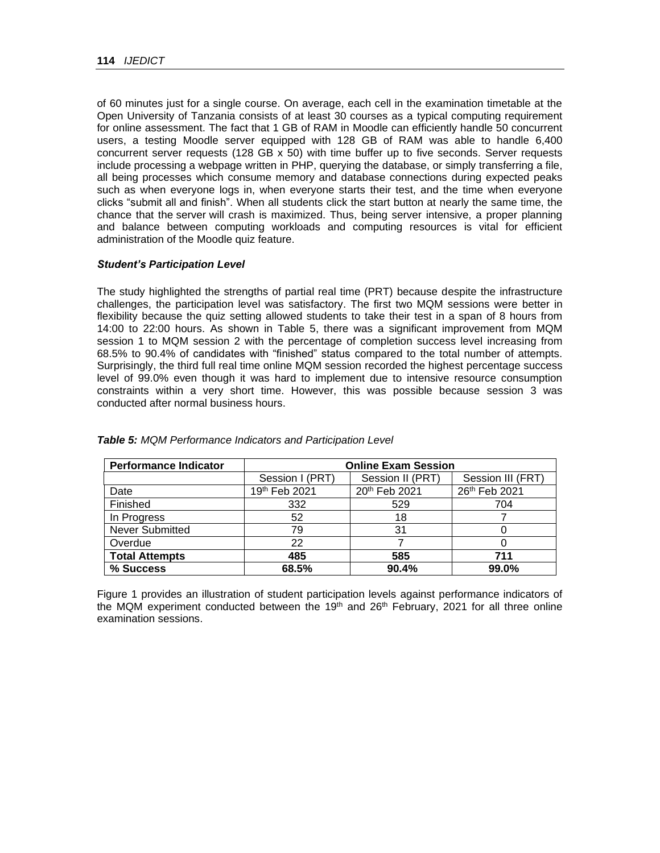of 60 minutes just for a single course. On average, each cell in the examination timetable at the Open University of Tanzania consists of at least 30 courses as a typical computing requirement for online assessment. The fact that 1 GB of RAM in Moodle can efficiently handle 50 concurrent users, a testing Moodle server equipped with 128 GB of RAM was able to handle 6,400 concurrent server requests (128 GB  $\times$  50) with time buffer up to five seconds. Server requests include processing a webpage written in PHP, querying the database, or simply transferring a file, all being processes which consume memory and database connections during expected peaks such as when everyone logs in, when everyone starts their test, and the time when everyone clicks "submit all and finish". When all students click the start button at nearly the same time, the chance that the server will crash is maximized. Thus, being server intensive, a proper planning and balance between computing workloads and computing resources is vital for efficient administration of the Moodle quiz feature.

# *Student's Participation Level*

The study highlighted the strengths of partial real time (PRT) because despite the infrastructure challenges, the participation level was satisfactory. The first two MQM sessions were better in flexibility because the quiz setting allowed students to take their test in a span of 8 hours from 14:00 to 22:00 hours. As shown in Table 5, there was a significant improvement from MQM session 1 to MQM session 2 with the percentage of completion success level increasing from 68.5% to 90.4% of candidates with "finished" status compared to the total number of attempts. Surprisingly, the third full real time online MQM session recorded the highest percentage success level of 99.0% even though it was hard to implement due to intensive resource consumption constraints within a very short time. However, this was possible because session 3 was conducted after normal business hours.

| <b>Performance Indicator</b> | <b>Online Exam Session</b> |                  |                   |  |
|------------------------------|----------------------------|------------------|-------------------|--|
|                              | Session I (PRT)            | Session II (PRT) | Session III (FRT) |  |
| Date                         | 19th Feb 2021              | 20th Feb 2021    | 26th Feb 2021     |  |
| Finished                     | 332                        | 529              | 704               |  |
| In Progress                  | 52                         | 18               |                   |  |
| <b>Never Submitted</b>       | 79                         | 31               |                   |  |
| Overdue                      | 22                         |                  |                   |  |
| <b>Total Attempts</b>        | 485                        | 585              | 711               |  |
| % Success                    | 68.5%                      | 90.4%            | 99.0%             |  |

*Table 5: MQM Performance Indicators and Participation Level*

Figure 1 provides an illustration of student participation levels against performance indicators of the MQM experiment conducted between the 19<sup>th</sup> and 26<sup>th</sup> February, 2021 for all three online examination sessions.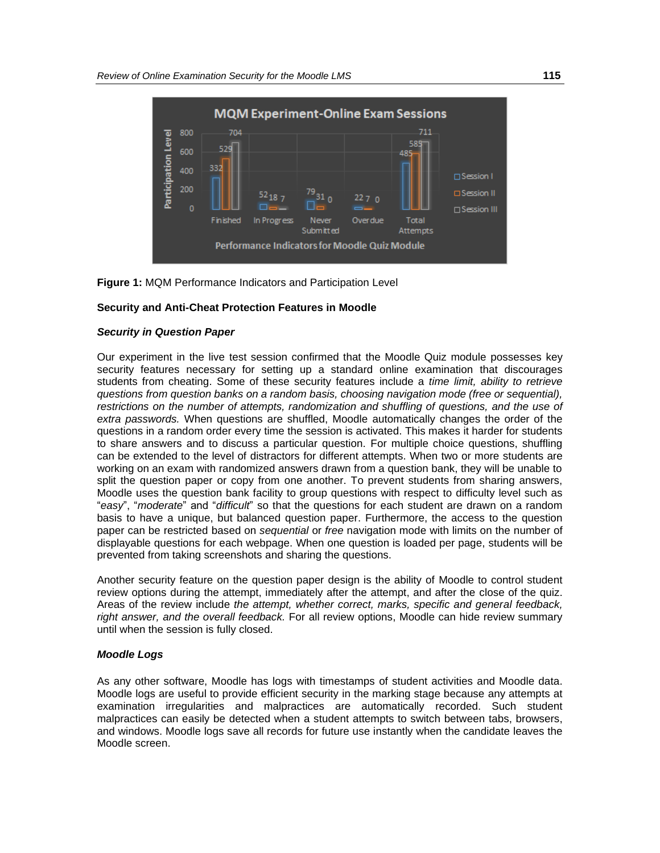



#### **Security and Anti-Cheat Protection Features in Moodle**

#### *Security in Question Paper*

Our experiment in the live test session confirmed that the Moodle Quiz module possesses key security features necessary for setting up a standard online examination that discourages students from cheating. Some of these security features include a *time limit, ability to retrieve questions from question banks on a random basis, choosing navigation mode (free or sequential), restrictions on the number of attempts, randomization and shuffling of questions, and the use of extra passwords.* When questions are shuffled, Moodle automatically changes the order of the questions in a random order every time the session is activated. This makes it harder for students to share answers and to discuss a particular question. For multiple choice questions, shuffling can be extended to the level of distractors for different attempts. When two or more students are working on an exam with randomized answers drawn from a question bank, they will be unable to split the question paper or copy from one another. To prevent students from sharing answers, Moodle uses the question bank facility to group questions with respect to difficulty level such as "*easy*", "*moderate*" and "*difficult*" so that the questions for each student are drawn on a random basis to have a unique, but balanced question paper. Furthermore, the access to the question paper can be restricted based on *sequential* or *free* navigation mode with limits on the number of displayable questions for each webpage. When one question is loaded per page, students will be prevented from taking screenshots and sharing the questions.

Another security feature on the question paper design is the ability of Moodle to control student review options during the attempt, immediately after the attempt, and after the close of the quiz. Areas of the review include *the attempt, whether correct, marks, specific and general feedback, right answer, and the overall feedback.* For all review options, Moodle can hide review summary until when the session is fully closed.

#### *Moodle Logs*

As any other software, Moodle has logs with timestamps of student activities and Moodle data. Moodle logs are useful to provide efficient security in the marking stage because any attempts at examination irregularities and malpractices are automatically recorded. Such student malpractices can easily be detected when a student attempts to switch between tabs, browsers, and windows. Moodle logs save all records for future use instantly when the candidate leaves the Moodle screen.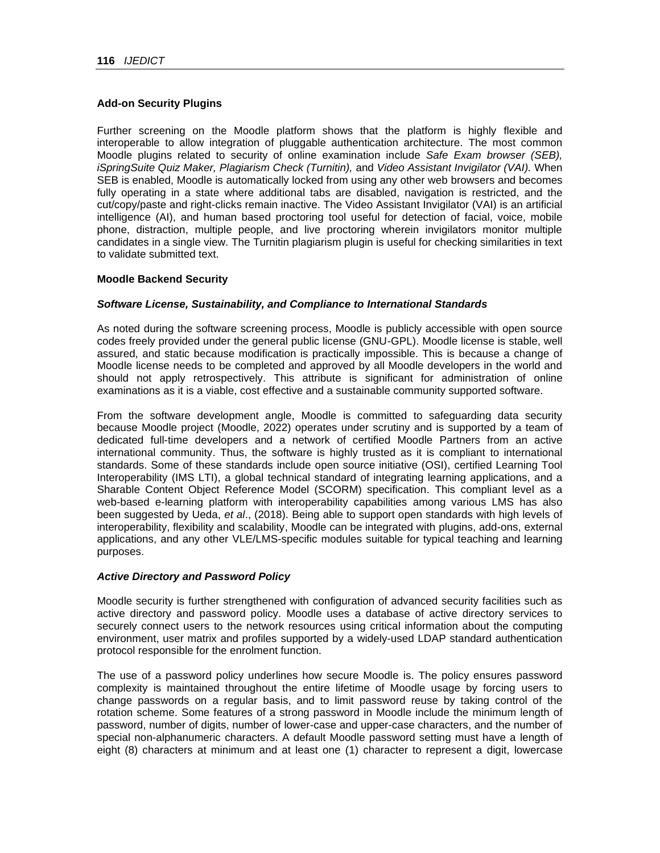# **Add-on Security Plugins**

Further screening on the Moodle platform shows that the platform is highly flexible and interoperable to allow integration of pluggable authentication architecture. The most common Moodle plugins related to security of online examination include *Safe Exam browser (SEB), iSpringSuite Quiz Maker, Plagiarism Check (Turnitin),* and *Video Assistant Invigilator (VAI).* When SEB is enabled, Moodle is automatically locked from using any other web browsers and becomes fully operating in a state where additional tabs are disabled, navigation is restricted, and the cut/copy/paste and right-clicks remain inactive. The Video Assistant Invigilator (VAI) is an artificial intelligence (AI), and human based proctoring tool useful for detection of facial, voice, mobile phone, distraction, multiple people, and live proctoring wherein invigilators monitor multiple candidates in a single view. The Turnitin plagiarism plugin is useful for checking similarities in text to validate submitted text.

# **Moodle Backend Security**

# *Software License, Sustainability, and Compliance to International Standards*

As noted during the software screening process, Moodle is publicly accessible with open source codes freely provided under the general public license (GNU-GPL). Moodle license is stable, well assured, and static because modification is practically impossible. This is because a change of Moodle license needs to be completed and approved by all Moodle developers in the world and should not apply retrospectively. This attribute is significant for administration of online examinations as it is a viable, cost effective and a sustainable community supported software.

From the software development angle, Moodle is committed to safeguarding data security because Moodle project (Moodle, 2022) operates under scrutiny and is supported by a team of dedicated full-time developers and a network of certified Moodle Partners from an active international community. Thus, the software is highly trusted as it is compliant to international standards. Some of these standards include open source initiative (OSI), certified Learning Tool Interoperability (IMS LTI), a global technical standard of integrating learning applications, and a Sharable Content Object Reference Model (SCORM) specification. This compliant level as a web-based e-learning platform with interoperability capabilities among various LMS has also been suggested by Ueda, *et al*., (2018). Being able to support open standards with high levels of interoperability, flexibility and scalability, Moodle can be integrated with plugins, add-ons, external applications, and any other VLE/LMS-specific modules suitable for typical teaching and learning purposes.

# *Active Directory and Password Policy*

Moodle security is further strengthened with configuration of advanced security facilities such as active directory and password policy. Moodle uses a database of active directory services to securely connect users to the network resources using critical information about the computing environment, user matrix and profiles supported by a widely-used LDAP standard authentication protocol responsible for the enrolment function.

The use of a password policy underlines how secure Moodle is. The policy ensures password complexity is maintained throughout the entire lifetime of Moodle usage by forcing users to change passwords on a regular basis, and to limit password reuse by taking control of the rotation scheme. Some features of a strong password in Moodle include the minimum length of password, number of digits, number of lower-case and upper-case characters, and the number of special non-alphanumeric characters. A default Moodle password setting must have a length of eight (8) characters at minimum and at least one (1) character to represent a digit, lowercase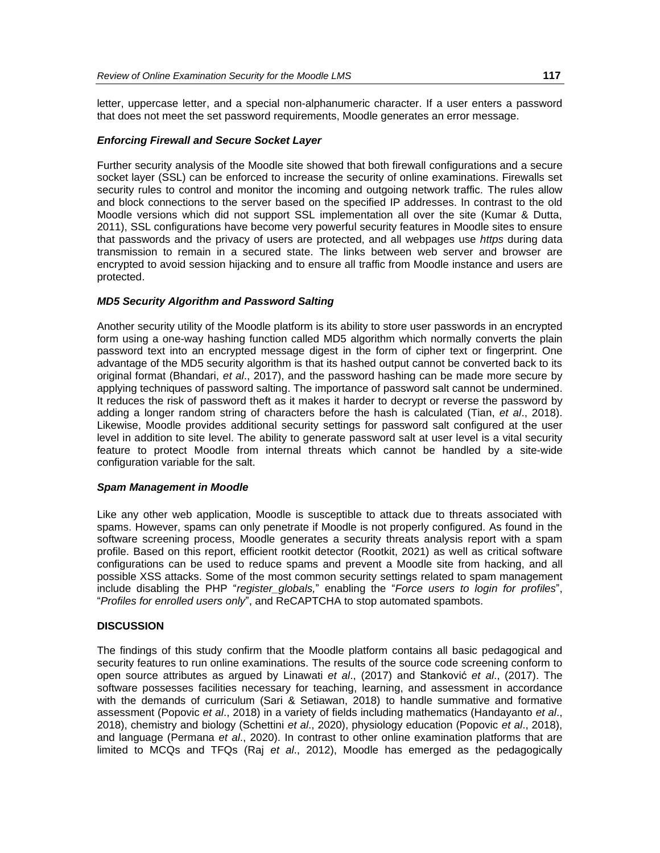letter, uppercase letter, and a special non-alphanumeric character. If a user enters a password that does not meet the set password requirements, Moodle generates an error message.

# *Enforcing Firewall and Secure Socket Layer*

Further security analysis of the Moodle site showed that both firewall configurations and a secure socket layer (SSL) can be enforced to increase the security of online examinations. Firewalls set security rules to control and monitor the incoming and outgoing network traffic. The rules allow and block connections to the server based on the specified IP addresses. In contrast to the old Moodle versions which did not support SSL implementation all over the site (Kumar & Dutta, 2011), SSL configurations have become very powerful security features in Moodle sites to ensure that passwords and the privacy of users are protected, and all webpages use *https* during data transmission to remain in a secured state. The links between web server and browser are encrypted to avoid session hijacking and to ensure all traffic from Moodle instance and users are protected.

#### *MD5 Security Algorithm and Password Salting*

Another security utility of the Moodle platform is its ability to store user passwords in an encrypted form using a one-way hashing function called MD5 algorithm which normally converts the plain password text into an encrypted message digest in the form of cipher text or fingerprint. One advantage of the MD5 security algorithm is that its hashed output cannot be converted back to its original format (Bhandari, *et al*., 2017), and the password hashing can be made more secure by applying techniques of password salting. The importance of password salt cannot be undermined. It reduces the risk of password theft as it makes it harder to decrypt or reverse the password by adding a longer random string of characters before the hash is calculated (Tian, *et al*., 2018). Likewise, Moodle provides additional security settings for password salt configured at the user level in addition to site level. The ability to generate password salt at user level is a vital security feature to protect Moodle from internal threats which cannot be handled by a site-wide configuration variable for the salt.

#### *Spam Management in Moodle*

Like any other web application, Moodle is susceptible to attack due to threats associated with spams. However, spams can only penetrate if Moodle is not properly configured. As found in the software screening process, Moodle generates a security threats analysis report with a spam profile. Based on this report, efficient rootkit detector (Rootkit, 2021) as well as critical software configurations can be used to reduce spams and prevent a Moodle site from hacking, and all possible XSS attacks. Some of the most common security settings related to spam management include disabling the PHP "*register\_globals,*" enabling the "*Force users to login for profiles*", "*Profiles for enrolled users only*", and ReCAPTCHA to stop automated spambots.

#### **DISCUSSION**

The findings of this study confirm that the Moodle platform contains all basic pedagogical and security features to run online examinations. The results of the source code screening conform to open source attributes as argued by Linawati *et al*., (2017) and Stanković *et al*., (2017). The software possesses facilities necessary for teaching, learning, and assessment in accordance with the demands of curriculum (Sari & Setiawan, 2018) to handle summative and formative assessment (Popovic *et al*., 2018) in a variety of fields including mathematics (Handayanto *et al*., 2018), chemistry and biology (Schettini *et al*., 2020), physiology education (Popovic *et al*., 2018), and language (Permana *et al*., 2020). In contrast to other online examination platforms that are limited to MCQs and TFQs (Raj *et al*., 2012), Moodle has emerged as the pedagogically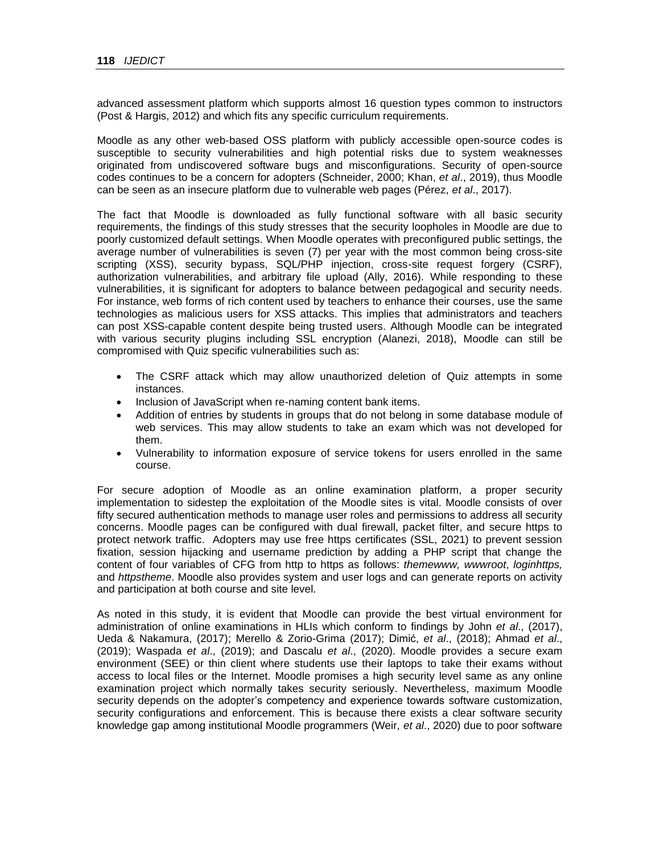advanced assessment platform which supports almost 16 question types common to instructors (Post & Hargis, 2012) and which fits any specific curriculum requirements.

Moodle as any other web-based OSS platform with publicly accessible open-source codes is susceptible to security vulnerabilities and high potential risks due to system weaknesses originated from undiscovered software bugs and misconfigurations. Security of open-source codes continues to be a concern for adopters (Schneider, 2000; Khan, *et al*., 2019), thus Moodle can be seen as an insecure platform due to vulnerable web pages (Pérez, *et al*., 2017).

The fact that Moodle is downloaded as fully functional software with all basic security requirements, the findings of this study stresses that the security loopholes in Moodle are due to poorly customized default settings. When Moodle operates with preconfigured public settings, the average number of vulnerabilities is seven (7) per year with the most common being cross-site scripting (XSS), security bypass, SQL/PHP injection, cross-site request forgery (CSRF), authorization vulnerabilities, and arbitrary file upload (Ally, 2016). While responding to these vulnerabilities, it is significant for adopters to balance between pedagogical and security needs. For instance, web forms of rich content used by teachers to enhance their courses, use the same technologies as malicious users for XSS attacks. This implies that administrators and teachers can post XSS-capable content despite being trusted users. Although Moodle can be integrated with various security plugins including SSL encryption (Alanezi, 2018), Moodle can still be compromised with Quiz specific vulnerabilities such as:

- The CSRF attack which may allow unauthorized deletion of Quiz attempts in some instances.
- Inclusion of JavaScript when re-naming content bank items.
- Addition of entries by students in groups that do not belong in some database module of web services. This may allow students to take an exam which was not developed for them.
- Vulnerability to information exposure of service tokens for users enrolled in the same course.

For secure adoption of Moodle as an online examination platform, a proper security implementation to sidestep the exploitation of the Moodle sites is vital. Moodle consists of over fifty secured authentication methods to manage user roles and permissions to address all security concerns. Moodle pages can be configured with dual firewall, packet filter, and secure https to protect network traffic. Adopters may use free https certificates (SSL, 2021) to prevent session fixation, session hijacking and username prediction by adding a PHP script that change the content of four variables of CFG from http to https as follows: *themewww, wwwroot*, *loginhttps,*  and *httpstheme*. Moodle also provides system and user logs and can generate reports on activity and participation at both course and site level.

As noted in this study, it is evident that Moodle can provide the best virtual environment for administration of online examinations in HLIs which conform to findings by John *et al*., (2017), Ueda & Nakamura, (2017); Merello & Zorio-Grima (2017); Dimić, *et al*., (2018); Ahmad *et al*., (2019); Waspada *et al*., (2019); and Dascalu *et al*., (2020). Moodle provides a secure exam environment (SEE) or thin client where students use their laptops to take their exams without access to local files or the Internet. Moodle promises a high security level same as any online examination project which normally takes security seriously. Nevertheless, maximum Moodle security depends on the adopter's competency and experience towards software customization, security configurations and enforcement. This is because there exists a clear software security knowledge gap among institutional Moodle programmers (Weir, *et al*., 2020) due to poor software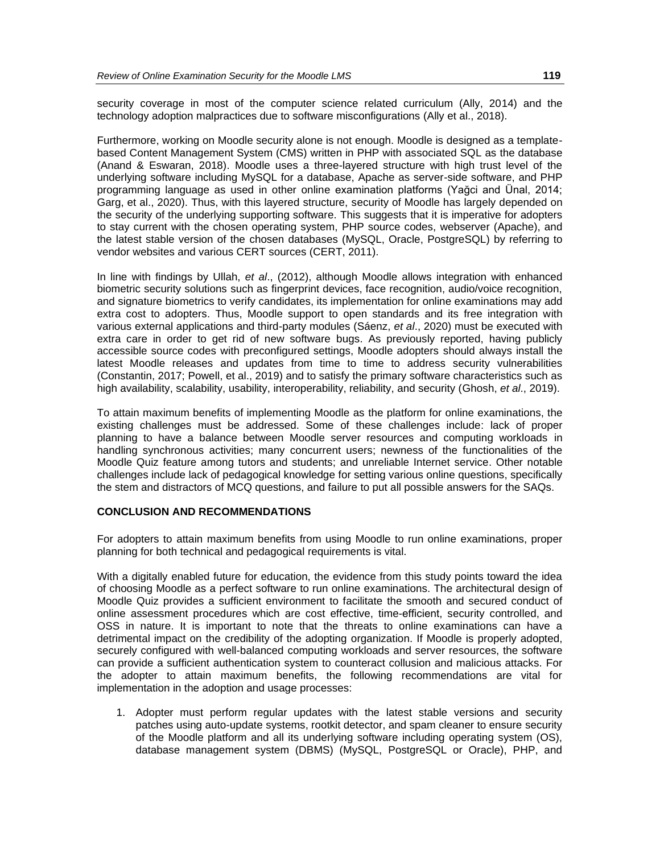security coverage in most of the computer science related curriculum (Ally, 2014) and the technology adoption malpractices due to software misconfigurations (Ally et al., 2018).

Furthermore, working on Moodle security alone is not enough. Moodle is designed as a templatebased Content Management System (CMS) written in PHP with associated SQL as the database (Anand & Eswaran, 2018). Moodle uses a three-layered structure with high trust level of the underlying software including MySQL for a database, Apache as server-side software, and PHP programming language as used in other online examination platforms (Yağci and Ünal, 2014; Garg, et al., 2020). Thus, with this layered structure, security of Moodle has largely depended on the security of the underlying supporting software. This suggests that it is imperative for adopters to stay current with the chosen operating system, PHP source codes, webserver (Apache), and the latest stable version of the chosen databases (MySQL, Oracle, PostgreSQL) by referring to vendor websites and various CERT sources (CERT, 2011).

In line with findings by Ullah, *et al*., (2012), although Moodle allows integration with enhanced biometric security solutions such as fingerprint devices, face recognition, audio/voice recognition, and signature biometrics to verify candidates, its implementation for online examinations may add extra cost to adopters. Thus, Moodle support to open standards and its free integration with various external applications and third-party modules (Sáenz, *et al*., 2020) must be executed with extra care in order to get rid of new software bugs. As previously reported, having publicly accessible source codes with preconfigured settings, Moodle adopters should always install the latest Moodle releases and updates from time to time to address security vulnerabilities (Constantin, 2017; Powell, et al., 2019) and to satisfy the primary software characteristics such as high availability, scalability, usability, interoperability, reliability, and security (Ghosh, *et al*., 2019).

To attain maximum benefits of implementing Moodle as the platform for online examinations, the existing challenges must be addressed. Some of these challenges include: lack of proper planning to have a balance between Moodle server resources and computing workloads in handling synchronous activities; many concurrent users; newness of the functionalities of the Moodle Quiz feature among tutors and students; and unreliable Internet service. Other notable challenges include lack of pedagogical knowledge for setting various online questions, specifically the stem and distractors of MCQ questions, and failure to put all possible answers for the SAQs.

# **CONCLUSION AND RECOMMENDATIONS**

For adopters to attain maximum benefits from using Moodle to run online examinations, proper planning for both technical and pedagogical requirements is vital.

With a digitally enabled future for education, the evidence from this study points toward the idea of choosing Moodle as a perfect software to run online examinations. The architectural design of Moodle Quiz provides a sufficient environment to facilitate the smooth and secured conduct of online assessment procedures which are cost effective, time-efficient, security controlled, and OSS in nature. It is important to note that the threats to online examinations can have a detrimental impact on the credibility of the adopting organization. If Moodle is properly adopted, securely configured with well-balanced computing workloads and server resources, the software can provide a sufficient authentication system to counteract collusion and malicious attacks. For the adopter to attain maximum benefits, the following recommendations are vital for implementation in the adoption and usage processes:

1. Adopter must perform regular updates with the latest stable versions and security patches using auto-update systems, rootkit detector, and spam cleaner to ensure security of the Moodle platform and all its underlying software including operating system (OS), database management system (DBMS) (MySQL, PostgreSQL or Oracle), PHP, and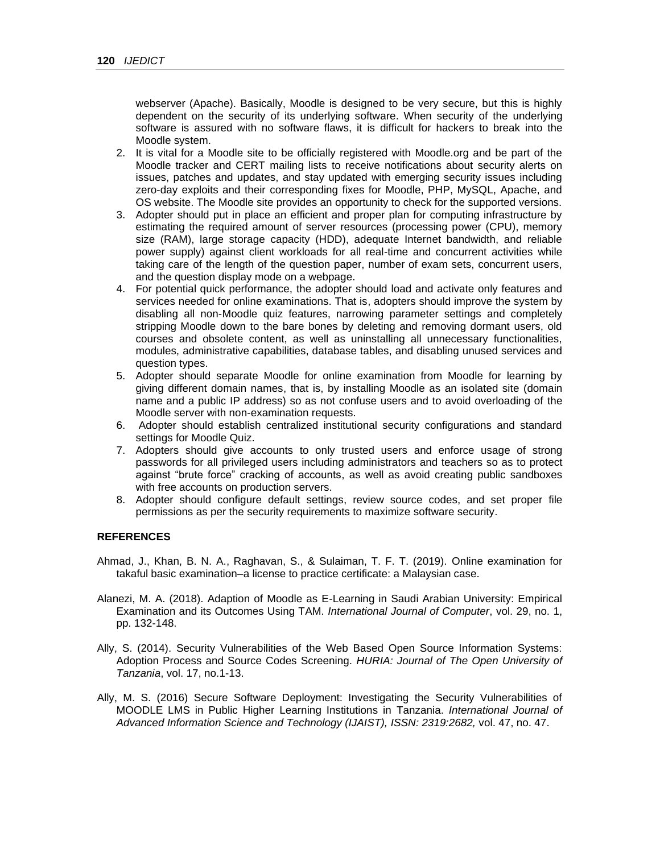webserver (Apache). Basically, Moodle is designed to be very secure, but this is highly dependent on the security of its underlying software. When security of the underlying software is assured with no software flaws, it is difficult for hackers to break into the Moodle system.

- 2. It is vital for a Moodle site to be officially registered with Moodle.org and be part of the Moodle tracker and CERT mailing lists to receive notifications about security alerts on issues, patches and updates, and stay updated with emerging security issues including zero-day exploits and their corresponding fixes for Moodle, PHP, MySQL, Apache, and OS website. The Moodle site provides an opportunity to check for the supported versions.
- 3. Adopter should put in place an efficient and proper plan for computing infrastructure by estimating the required amount of server resources (processing power (CPU), memory size (RAM), large storage capacity (HDD), adequate Internet bandwidth, and reliable power supply) against client workloads for all real-time and concurrent activities while taking care of the length of the question paper, number of exam sets, concurrent users, and the question display mode on a webpage.
- 4. For potential quick performance, the adopter should load and activate only features and services needed for online examinations. That is, adopters should improve the system by disabling all non-Moodle quiz features, narrowing parameter settings and completely stripping Moodle down to the bare bones by deleting and removing dormant users, old courses and obsolete content, as well as uninstalling all unnecessary functionalities, modules, administrative capabilities, database tables, and disabling unused services and question types.
- 5. Adopter should separate Moodle for online examination from Moodle for learning by giving different domain names, that is, by installing Moodle as an isolated site (domain name and a public IP address) so as not confuse users and to avoid overloading of the Moodle server with non-examination requests.
- 6. Adopter should establish centralized institutional security configurations and standard settings for Moodle Quiz.
- 7. Adopters should give accounts to only trusted users and enforce usage of strong passwords for all privileged users including administrators and teachers so as to protect against "brute force" cracking of accounts, as well as avoid creating public sandboxes with free accounts on production servers.
- 8. Adopter should configure default settings, review source codes, and set proper file permissions as per the security requirements to maximize software security.

#### **REFERENCES**

- Ahmad, J., Khan, B. N. A., Raghavan, S., & Sulaiman, T. F. T. (2019). Online examination for takaful basic examination–a license to practice certificate: a Malaysian case.
- Alanezi, M. A. (2018). Adaption of Moodle as E-Learning in Saudi Arabian University: Empirical Examination and its Outcomes Using TAM. *International Journal of Computer*, vol. 29, no. 1, pp. 132-148.
- Ally, S. (2014). Security Vulnerabilities of the Web Based Open Source Information Systems: Adoption Process and Source Codes Screening. *HURIA: Journal of The Open University of Tanzania*, vol. 17, no.1-13.
- Ally, M. S. (2016) Secure Software Deployment: Investigating the Security Vulnerabilities of MOODLE LMS in Public Higher Learning Institutions in Tanzania. *International Journal of Advanced Information Science and Technology (IJAIST), ISSN: 2319:2682,* vol. 47, no. 47.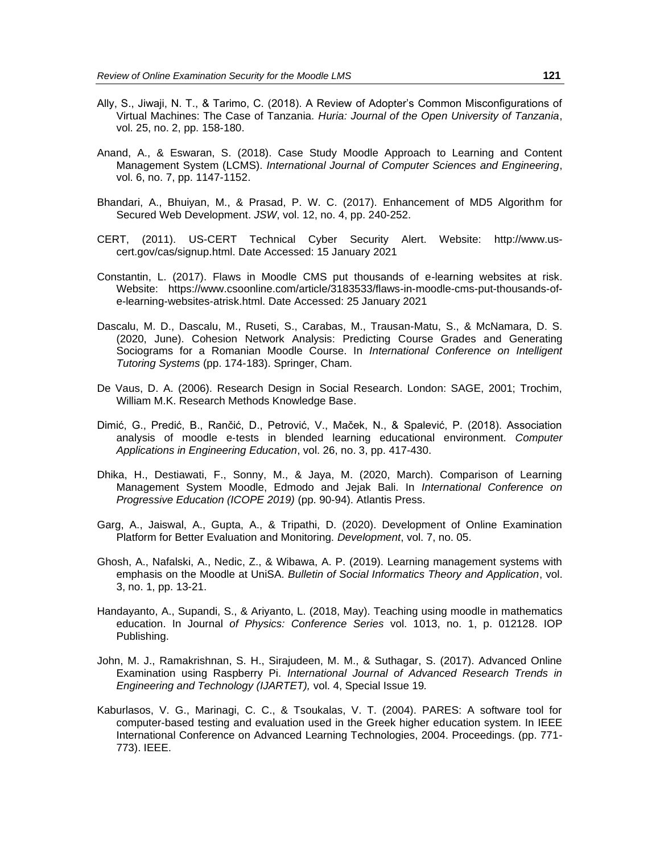- Ally, S., Jiwaji, N. T., & Tarimo, C. (2018). A Review of Adopter's Common Misconfigurations of Virtual Machines: The Case of Tanzania. *Huria: Journal of the Open University of Tanzania*, vol. 25, no. 2, pp. 158-180.
- Anand, A., & Eswaran, S. (2018). Case Study Moodle Approach to Learning and Content Management System (LCMS). *International Journal of Computer Sciences and Engineering*, vol. 6, no. 7, pp. 1147-1152.
- Bhandari, A., Bhuiyan, M., & Prasad, P. W. C. (2017). Enhancement of MD5 Algorithm for Secured Web Development. *JSW*, vol. 12, no. 4, pp. 240-252.
- CERT, (2011). US-CERT Technical Cyber Security Alert. Website: [http://www.us](http://www.us-cert.gov/cas/signup.html)[cert.gov/cas/signup.html.](http://www.us-cert.gov/cas/signup.html) Date Accessed: 15 January 2021
- Constantin, L. (2017). Flaws in Moodle CMS put thousands of e-learning websites at risk. Website: [https://www.csoonline.com/article/3183533/flaws-in-moodle-cms-put-thousands-of](https://www.csoonline.com/article/3183533/flaws-in-moodle-cms-put-thousands-of-e-learning-websites-atrisk.html)[e-learning-websites-atrisk.html.](https://www.csoonline.com/article/3183533/flaws-in-moodle-cms-put-thousands-of-e-learning-websites-atrisk.html) Date Accessed: 25 January 2021
- Dascalu, M. D., Dascalu, M., Ruseti, S., Carabas, M., Trausan-Matu, S., & McNamara, D. S. (2020, June). Cohesion Network Analysis: Predicting Course Grades and Generating Sociograms for a Romanian Moodle Course. In *International Conference on Intelligent Tutoring Systems* (pp. 174-183). Springer, Cham.
- De Vaus, D. A. (2006). Research Design in Social Research. London: SAGE, 2001; Trochim, William M.K. [Research Methods Knowledge Base.](http://www.socialresearchmethods.net/)
- Dimić, G., Predić, B., Rančić, D., Petrović, V., Maček, N., & Spalević, P. (2018). Association analysis of moodle e‐tests in blended learning educational environment. *Computer Applications in Engineering Education*, vol. 26, no. 3, pp. 417-430.
- Dhika, H., Destiawati, F., Sonny, M., & Jaya, M. (2020, March). Comparison of Learning Management System Moodle, Edmodo and Jejak Bali. In *International Conference on Progressive Education (ICOPE 2019)* (pp. 90-94). Atlantis Press.
- Garg, A., Jaiswal, A., Gupta, A., & Tripathi, D. (2020). Development of Online Examination Platform for Better Evaluation and Monitoring. *Development*, vol. 7, no. 05.
- Ghosh, A., Nafalski, A., Nedic, Z., & Wibawa, A. P. (2019). Learning management systems with emphasis on the Moodle at UniSA. *Bulletin of Social Informatics Theory and Application*, vol. 3, no. 1, pp. 13-21.
- Handayanto, A., Supandi, S., & Ariyanto, L. (2018, May). Teaching using moodle in mathematics education. In Journal *of Physics: Conference Series* vol. 1013, no. 1, p. 012128. IOP Publishing.
- John, M. J., Ramakrishnan, S. H., Sirajudeen, M. M., & Suthagar, S. (2017). Advanced Online Examination using Raspberry Pi. *International Journal of Advanced Research Trends in Engineering and Technology (IJARTET),* vol. 4, Special Issue 19*.*
- Kaburlasos, V. G., Marinagi, C. C., & Tsoukalas, V. T. (2004). PARES: A software tool for computer-based testing and evaluation used in the Greek higher education system. In IEEE International Conference on Advanced Learning Technologies, 2004. Proceedings. (pp. 771- 773). IEEE.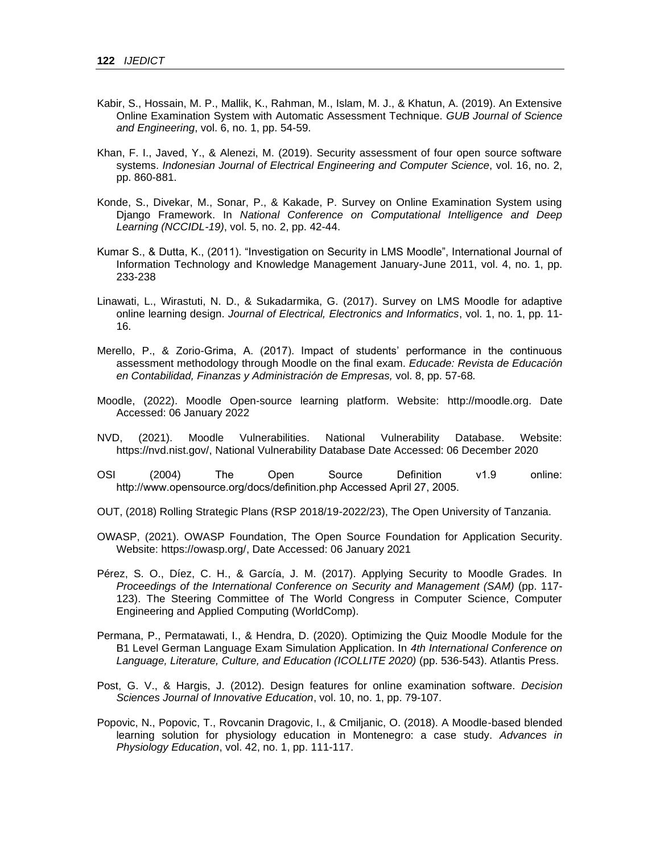- Kabir, S., Hossain, M. P., Mallik, K., Rahman, M., Islam, M. J., & Khatun, A. (2019). An Extensive Online Examination System with Automatic Assessment Technique. *GUB Journal of Science and Engineering*, vol. 6, no. 1, pp. 54-59.
- Khan, F. I., Javed, Y., & Alenezi, M. (2019). Security assessment of four open source software systems. *Indonesian Journal of Electrical Engineering and Computer Science*, vol. 16, no. 2, pp. 860-881.
- Konde, S., Divekar, M., Sonar, P., & Kakade, P. Survey on Online Examination System using Django Framework. In *National Conference on Computational Intelligence and Deep Learning (NCCIDL-19)*, vol. 5, no. 2, pp. 42-44.
- Kumar S., & Dutta, K., (2011). "Investigation on Security in LMS Moodle", International Journal of Information Technology and Knowledge Management January-June 2011, vol. 4, no. 1, pp. 233-238
- Linawati, L., Wirastuti, N. D., & Sukadarmika, G. (2017). Survey on LMS Moodle for adaptive online learning design. *Journal of Electrical, Electronics and Informatics*, vol. 1, no. 1, pp. 11- 16.
- Merello, P., & Zorio-Grima, A. (2017). Impact of students' performance in the continuous assessment methodology through Moodle on the final exam. *Educade: Revista de Educación en Contabilidad, Finanzas y Administración de Empresas,* vol. 8, pp. 57-68*.*
- Moodle, (2022). Moodle Open-source learning platform. Website: [http://moodle.org.](http://moodle.org/) Date Accessed: 06 January 2022
- NVD, (2021). Moodle Vulnerabilities. National Vulnerability Database. Website: [https://nvd.nist.gov/,](https://nvd.nist.gov/) National Vulnerability Database Date Accessed: 06 December 2020
- OSI (2004) The Open Source Definition v1.9 online: http://www.opensource.org/docs/definition.php Accessed April 27, 2005.
- OUT, (2018) Rolling Strategic Plans (RSP 2018/19-2022/23), The Open University of Tanzania.
- OWASP, (2021). OWASP Foundation, The Open Source Foundation for Application Security. Website: [https://owasp.org/,](https://owasp.org/) Date Accessed: 06 January 2021
- Pérez, S. O., Díez, C. H., & García, J. M. (2017). Applying Security to Moodle Grades. In *Proceedings of the International Conference on Security and Management (SAM)* (pp. 117- 123). The Steering Committee of The World Congress in Computer Science, Computer Engineering and Applied Computing (WorldComp).
- Permana, P., Permatawati, I., & Hendra, D. (2020). Optimizing the Quiz Moodle Module for the B1 Level German Language Exam Simulation Application. In *4th International Conference on Language, Literature, Culture, and Education (ICOLLITE 2020)* (pp. 536-543). Atlantis Press.
- Post, G. V., & Hargis, J. (2012). Design features for online examination software. *Decision Sciences Journal of Innovative Education*, vol. 10, no. 1, pp. 79-107.
- Popovic, N., Popovic, T., Rovcanin Dragovic, I., & Cmiljanic, O. (2018). A Moodle-based blended learning solution for physiology education in Montenegro: a case study. *Advances in Physiology Education*, vol. 42, no. 1, pp. 111-117.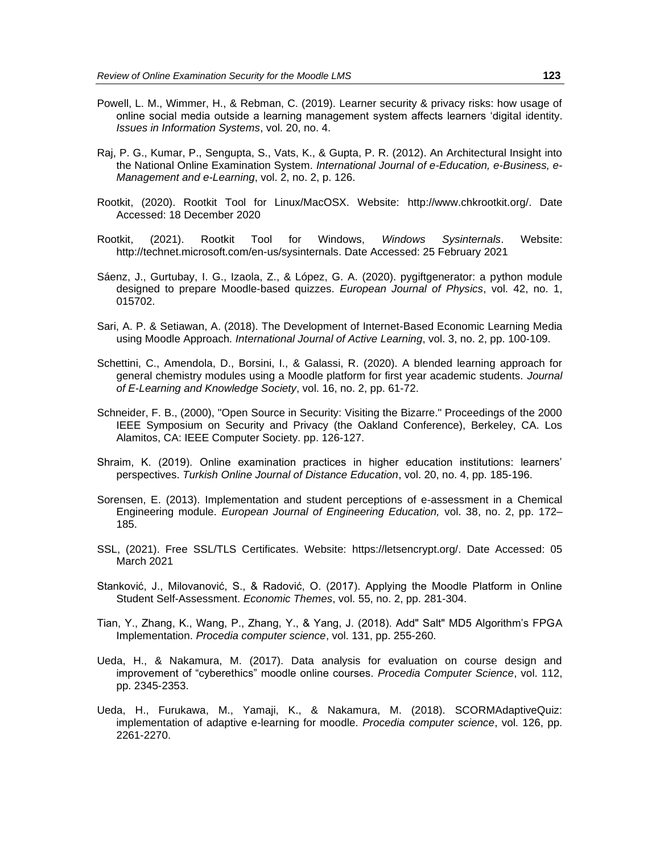- Powell, L. M., Wimmer, H., & Rebman, C. (2019). Learner security & privacy risks: how usage of online social media outside a learning management system affects learners 'digital identity. *Issues in Information Systems*, vol. 20, no. 4.
- Raj, P. G., Kumar, P., Sengupta, S., Vats, K., & Gupta, P. R. (2012). An Architectural Insight into the National Online Examination System. *International Journal of e-Education, e-Business, e-Management and e-Learning*, vol. 2, no. 2, p. 126.
- Rootkit, (2020). Rootkit Tool for Linux/MacOSX. Website: [http://www.chkrootkit.org/.](http://www.chkrootkit.org/) Date Accessed: 18 December 2020
- Rootkit, (2021). Rootkit Tool for Windows, *Windows Sysinternals*. Website: [http://technet.microsoft.com/en-us/sysinternals.](http://technet.microsoft.com/en-us/sysinternals) Date Accessed: 25 February 2021
- Sáenz, J., Gurtubay, I. G., Izaola, Z., & López, G. A. (2020). pygiftgenerator: a python module designed to prepare Moodle-based quizzes. *European Journal of Physics*, vol. 42, no. 1, 015702.
- Sari, A. P. & Setiawan, A. (2018). The Development of Internet-Based Economic Learning Media using Moodle Approach*. International Journal of Active Learning*, vol. 3, no. 2, pp. 100-109.
- Schettini, C., Amendola, D., Borsini, I., & Galassi, R. (2020). A blended learning approach for general chemistry modules using a Moodle platform for first year academic students. *Journal of E-Learning and Knowledge Society*, vol. 16, no. 2, pp. 61-72.
- Schneider, F. B., (2000), "Open Source in Security: Visiting the Bizarre." Proceedings of the 2000 IEEE Symposium on Security and Privacy (the Oakland Conference), Berkeley, CA. Los Alamitos, CA: IEEE Computer Society. pp. 126-127.
- Shraim, K. (2019). Online examination practices in higher education institutions: learners' perspectives. *Turkish Online Journal of Distance Education*, vol. 20, no. 4, pp. 185-196.
- Sorensen, E. (2013). Implementation and student perceptions of e-assessment in a Chemical Engineering module. *European Journal of Engineering Education,* vol. 38, no. 2, pp. 172– 185.
- SSL, (2021). Free SSL/TLS Certificates. Website: [https://letsencrypt.org/.](https://letsencrypt.org/) Date Accessed: 05 March 2021
- Stanković, J., Milovanović, S., & Radović, O. (2017). Applying the Moodle Platform in Online Student Self-Assessment. *Economic Themes*, vol. 55, no. 2, pp. 281-304.
- Tian, Y., Zhang, K., Wang, P., Zhang, Y., & Yang, J. (2018). Add" Salt" MD5 Algorithm's FPGA Implementation. *Procedia computer science*, vol. 131, pp. 255-260.
- Ueda, H., & Nakamura, M. (2017). Data analysis for evaluation on course design and improvement of "cyberethics" moodle online courses. *Procedia Computer Science*, vol. 112, pp. 2345-2353.
- Ueda, H., Furukawa, M., Yamaji, K., & Nakamura, M. (2018). SCORMAdaptiveQuiz: implementation of adaptive e-learning for moodle. *Procedia computer science*, vol. 126, pp. 2261-2270.